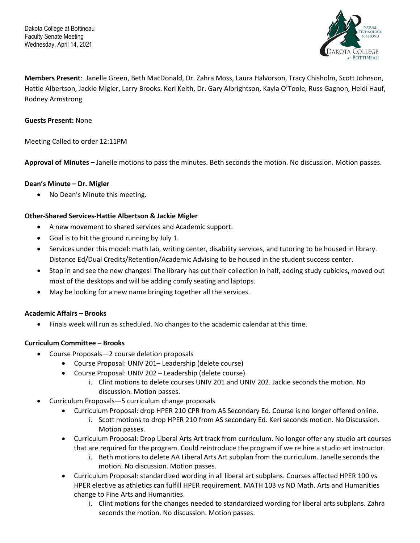Dakota College at Bottineau Faculty Senate Meeting Wednesday, April 14, 2021



**Members Present**: Janelle Green, Beth MacDonald, Dr. Zahra Moss, Laura Halvorson, Tracy Chisholm, Scott Johnson, Hattie Albertson, Jackie Migler, Larry Brooks. Keri Keith, Dr. Gary Albrightson, Kayla O'Toole, Russ Gagnon, Heidi Hauf, Rodney Armstrong

## **Guests Present:** None

Meeting Called to order 12:11PM

**Approval of Minutes –** Janelle motions to pass the minutes. Beth seconds the motion. No discussion. Motion passes.

### **Dean's Minute – Dr. Migler**

• No Dean's Minute this meeting.

## **Other-Shared Services-Hattie Albertson & Jackie Migler**

- A new movement to shared services and Academic support.
- Goal is to hit the ground running by July 1.
- Services under this model: math lab, writing center, disability services, and tutoring to be housed in library. Distance Ed/Dual Credits/Retention/Academic Advising to be housed in the student success center.
- Stop in and see the new changes! The library has cut their collection in half, adding study cubicles, moved out most of the desktops and will be adding comfy seating and laptops.
- May be looking for a new name bringing together all the services.

# **Academic Affairs – Brooks**

• Finals week will run as scheduled. No changes to the academic calendar at this time.

# **Curriculum Committee – Brooks**

- Course Proposals—2 course deletion proposals
	- Course Proposal: UNIV 201– Leadership (delete course)
	- Course Proposal: UNIV 202 Leadership (delete course)
		- i. Clint motions to delete courses UNIV 201 and UNIV 202. Jackie seconds the motion. No discussion. Motion passes.
- Curriculum Proposals—5 curriculum change proposals
	- Curriculum Proposal: drop HPER 210 CPR from AS Secondary Ed. Course is no longer offered online.
		- i. Scott motions to drop HPER 210 from AS secondary Ed. Keri seconds motion. No Discussion. Motion passes.
	- Curriculum Proposal: Drop Liberal Arts Art track from curriculum. No longer offer any studio art courses that are required for the program. Could reintroduce the program if we re hire a studio art instructor.
		- i. Beth motions to delete AA Liberal Arts Art subplan from the curriculum. Janelle seconds the motion. No discussion. Motion passes.
	- Curriculum Proposal: standardized wording in all liberal art subplans. Courses affected HPER 100 vs HPER elective as athletics can fulfill HPER requirement. MATH 103 vs ND Math. Arts and Humanities change to Fine Arts and Humanities.
		- i. Clint motions for the changes needed to standardized wording for liberal arts subplans. Zahra seconds the motion. No discussion. Motion passes.